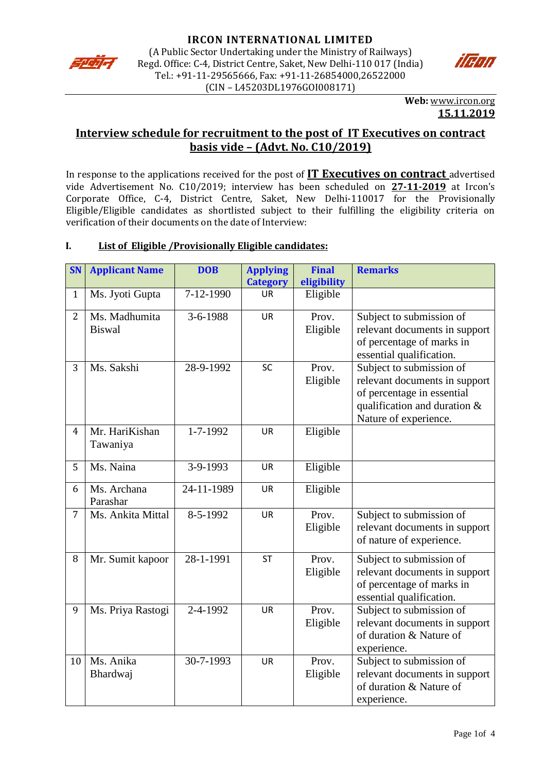



**Web:** [www.ircon.org](http://www.ircon.org/) **15.11.2019**

# **Interview schedule for recruitment to the post of IT Executives on contract basis vide – (Advt. No. C10/2019)**

In response to the applications received for the post of **IT Executives on contract** advertised vide Advertisement No. C10/2019; interview has been scheduled on **27-11-2019** at Ircon's Corporate Office, C-4, District Centre, Saket, New Delhi-110017 for the Provisionally Eligible/Eligible candidates as shortlisted subject to their fulfilling the eligibility criteria on verification of their documents on the date of Interview:

## **I. List of Eligible /Provisionally Eligible candidates:**

| <b>SN</b>      | <b>Applicant Name</b>          | <b>DOB</b>     | <b>Applying</b><br><b>Category</b> | <b>Final</b><br>eligibility | <b>Remarks</b>                                                                                                                                   |
|----------------|--------------------------------|----------------|------------------------------------|-----------------------------|--------------------------------------------------------------------------------------------------------------------------------------------------|
| $\mathbf{1}$   | Ms. Jyoti Gupta                | 7-12-1990      | <b>UR</b>                          | Eligible                    |                                                                                                                                                  |
| $\overline{2}$ | Ms. Madhumita<br><b>Biswal</b> | 3-6-1988       | <b>UR</b>                          | Prov.<br>Eligible           | Subject to submission of<br>relevant documents in support<br>of percentage of marks in<br>essential qualification.                               |
| 3              | Ms. Sakshi                     | 28-9-1992      | SC                                 | Prov.<br>Eligible           | Subject to submission of<br>relevant documents in support<br>of percentage in essential<br>qualification and duration &<br>Nature of experience. |
| $\overline{4}$ | Mr. HariKishan<br>Tawaniya     | 1-7-1992       | <b>UR</b>                          | Eligible                    |                                                                                                                                                  |
| 5              | Ms. Naina                      | 3-9-1993       | <b>UR</b>                          | Eligible                    |                                                                                                                                                  |
| 6              | Ms. Archana<br>Parashar        | 24-11-1989     | <b>UR</b>                          | Eligible                    |                                                                                                                                                  |
| $\overline{7}$ | Ms. Ankita Mittal              | $8 - 5 - 1992$ | <b>UR</b>                          | Prov.<br>Eligible           | Subject to submission of<br>relevant documents in support<br>of nature of experience.                                                            |
| 8              | Mr. Sumit kapoor               | 28-1-1991      | <b>ST</b>                          | Prov.<br>Eligible           | Subject to submission of<br>relevant documents in support<br>of percentage of marks in<br>essential qualification.                               |
| 9              | Ms. Priya Rastogi              | 2-4-1992       | <b>UR</b>                          | Prov.<br>Eligible           | Subject to submission of<br>relevant documents in support<br>of duration & Nature of<br>experience.                                              |
| 10             | Ms. Anika<br>Bhardwaj          | 30-7-1993      | <b>UR</b>                          | Prov.<br>Eligible           | Subject to submission of<br>relevant documents in support<br>of duration & Nature of<br>experience.                                              |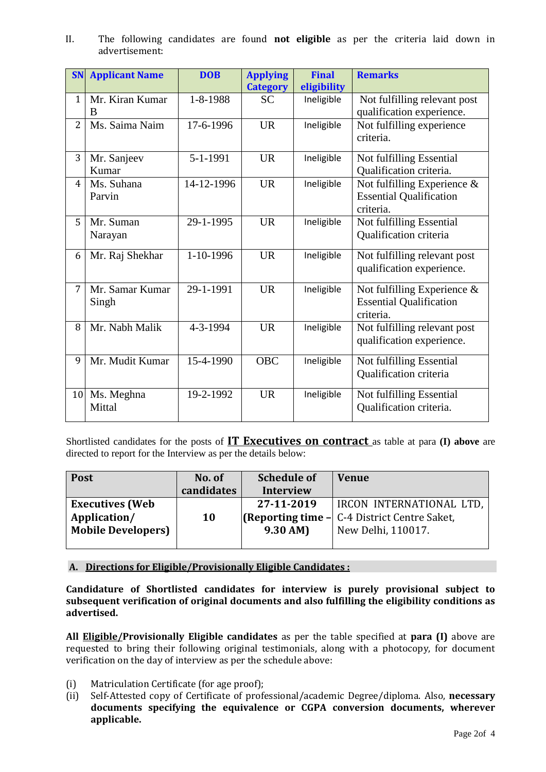II. The following candidates are found **not eligible** as per the criteria laid down in advertisement:

| <b>SN</b>       | <b>Applicant Name</b>    | <b>DOB</b> | <b>Applying</b><br><b>Category</b> | <b>Final</b><br>eligibility | <b>Remarks</b>                                                                |
|-----------------|--------------------------|------------|------------------------------------|-----------------------------|-------------------------------------------------------------------------------|
| $\mathbf{1}$    | Mr. Kiran Kumar<br>B     | 1-8-1988   | <b>SC</b>                          | Ineligible                  | Not fulfilling relevant post<br>qualification experience.                     |
| $\overline{2}$  | Ms. Saima Naim           | 17-6-1996  | <b>UR</b>                          | Ineligible                  | Not fulfilling experience<br>criteria.                                        |
| 3               | Mr. Sanjeev<br>Kumar     | 5-1-1991   | <b>UR</b>                          | Ineligible                  | Not fulfilling Essential<br>Qualification criteria.                           |
| 4               | Ms. Suhana<br>Parvin     | 14-12-1996 | <b>UR</b>                          | Ineligible                  | Not fulfilling Experience $\&$<br><b>Essential Qualification</b><br>criteria. |
| 5               | Mr. Suman<br>Narayan     | 29-1-1995  | <b>UR</b>                          | Ineligible                  | Not fulfilling Essential<br>Qualification criteria                            |
| 6               | Mr. Raj Shekhar          | 1-10-1996  | <b>UR</b>                          | Ineligible                  | Not fulfilling relevant post<br>qualification experience.                     |
| 7               | Mr. Samar Kumar<br>Singh | 29-1-1991  | <b>UR</b>                          | Ineligible                  | Not fulfilling Experience $\&$<br><b>Essential Qualification</b><br>criteria. |
| 8               | Mr. Nabh Malik           | 4-3-1994   | <b>UR</b>                          | Ineligible                  | Not fulfilling relevant post<br>qualification experience.                     |
| 9               | Mr. Mudit Kumar          | 15-4-1990  | <b>OBC</b>                         | Ineligible                  | Not fulfilling Essential<br>Qualification criteria                            |
| 10 <sup>1</sup> | Ms. Meghna<br>Mittal     | 19-2-1992  | <b>UR</b>                          | Ineligible                  | Not fulfilling Essential<br>Qualification criteria.                           |

Shortlisted candidates for the posts of **IT Executives on contract** as table at para **(I) above** are directed to report for the Interview as per the details below:

| <b>Post</b>               | No. of     | <b>Schedule of</b> | <b>Venue</b>                                        |
|---------------------------|------------|--------------------|-----------------------------------------------------|
|                           | candidates | <b>Interview</b>   |                                                     |
| <b>Executives (Web</b>    | <b>10</b>  | 27-11-2019         | IRCON INTERNATIONAL LTD,                            |
| Application/              |            |                    | <b>(Reporting time - C-4 District Centre Saket,</b> |
| <b>Mobile Developers)</b> |            | $9.30 \text{ AM}$  | New Delhi, 110017.                                  |
|                           |            |                    |                                                     |

#### **A. Directions for Eligible/Provisionally Eligible Candidates :**

**Candidature of Shortlisted candidates for interview is purely provisional subject to subsequent verification of original documents and also fulfilling the eligibility conditions as advertised.** 

**All Eligible/Provisionally Eligible candidates** as per the table specified at **para (I)** above are requested to bring their following original testimonials, along with a photocopy, for document verification on the day of interview as per the schedule above:

- (i) Matriculation Certificate (for age proof);
- (ii) Self-Attested copy of Certificate of professional/academic Degree/diploma. Also, **necessary documents specifying the equivalence or CGPA conversion documents, wherever applicable.**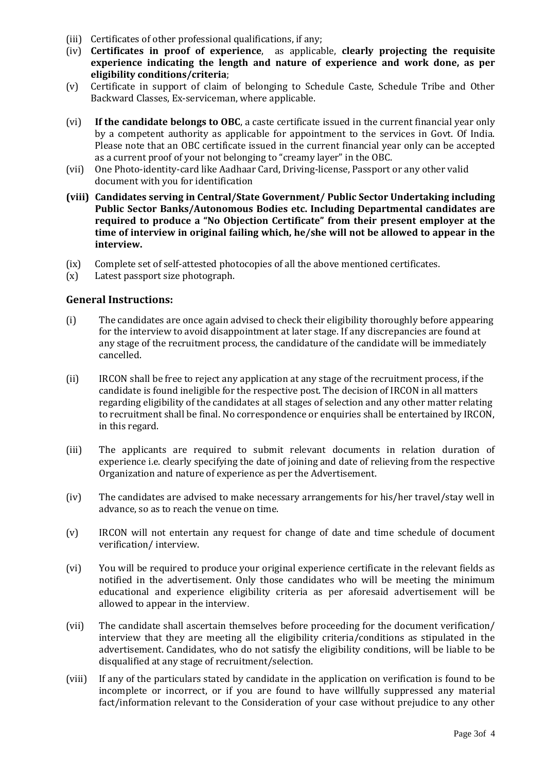- (iii) Certificates of other professional qualifications, if any;
- (iv) **Certificates in proof of experience**, as applicable, **clearly projecting the requisite experience indicating the length and nature of experience and work done, as per eligibility conditions/criteria**;
- (v) Certificate in support of claim of belonging to Schedule Caste, Schedule Tribe and Other Backward Classes, Ex-serviceman, where applicable.
- (vi) **If the candidate belongs to OBC**, a caste certificate issued in the current financial year only by a competent authority as applicable for appointment to the services in Govt. Of India. Please note that an OBC certificate issued in the current financial year only can be accepted as a current proof of your not belonging to "creamy layer" in the OBC.
- (vii) One Photo-identity-card like Aadhaar Card, Driving-license, Passport or any other valid document with you for identification
- **(viii) Candidates serving in Central/State Government/ Public Sector Undertaking including Public Sector Banks/Autonomous Bodies etc. Including Departmental candidates are required to produce a "No Objection Certificate" from their present employer at the time of interview in original failing which, he/she will not be allowed to appear in the interview.**
- (ix) Complete set of self-attested photocopies of all the above mentioned certificates.
- (x) Latest passport size photograph.

#### **General Instructions:**

- (i) The candidates are once again advised to check their eligibility thoroughly before appearing for the interview to avoid disappointment at later stage. If any discrepancies are found at any stage of the recruitment process, the candidature of the candidate will be immediately cancelled.
- (ii) IRCON shall be free to reject any application at any stage of the recruitment process, if the candidate is found ineligible for the respective post. The decision of IRCON in all matters regarding eligibility of the candidates at all stages of selection and any other matter relating to recruitment shall be final. No correspondence or enquiries shall be entertained by IRCON, in this regard.
- (iii) The applicants are required to submit relevant documents in relation duration of experience i.e. clearly specifying the date of joining and date of relieving from the respective Organization and nature of experience as per the Advertisement.
- (iv) The candidates are advised to make necessary arrangements for his/her travel/stay well in advance, so as to reach the venue on time.
- (v) IRCON will not entertain any request for change of date and time schedule of document verification/ interview.
- (vi) You will be required to produce your original experience certificate in the relevant fields as notified in the advertisement. Only those candidates who will be meeting the minimum educational and experience eligibility criteria as per aforesaid advertisement will be allowed to appear in the interview.
- (vii) The candidate shall ascertain themselves before proceeding for the document verification/ interview that they are meeting all the eligibility criteria/conditions as stipulated in the advertisement. Candidates, who do not satisfy the eligibility conditions, will be liable to be disqualified at any stage of recruitment/selection.
- (viii) If any of the particulars stated by candidate in the application on verification is found to be incomplete or incorrect, or if you are found to have willfully suppressed any material fact/information relevant to the Consideration of your case without prejudice to any other